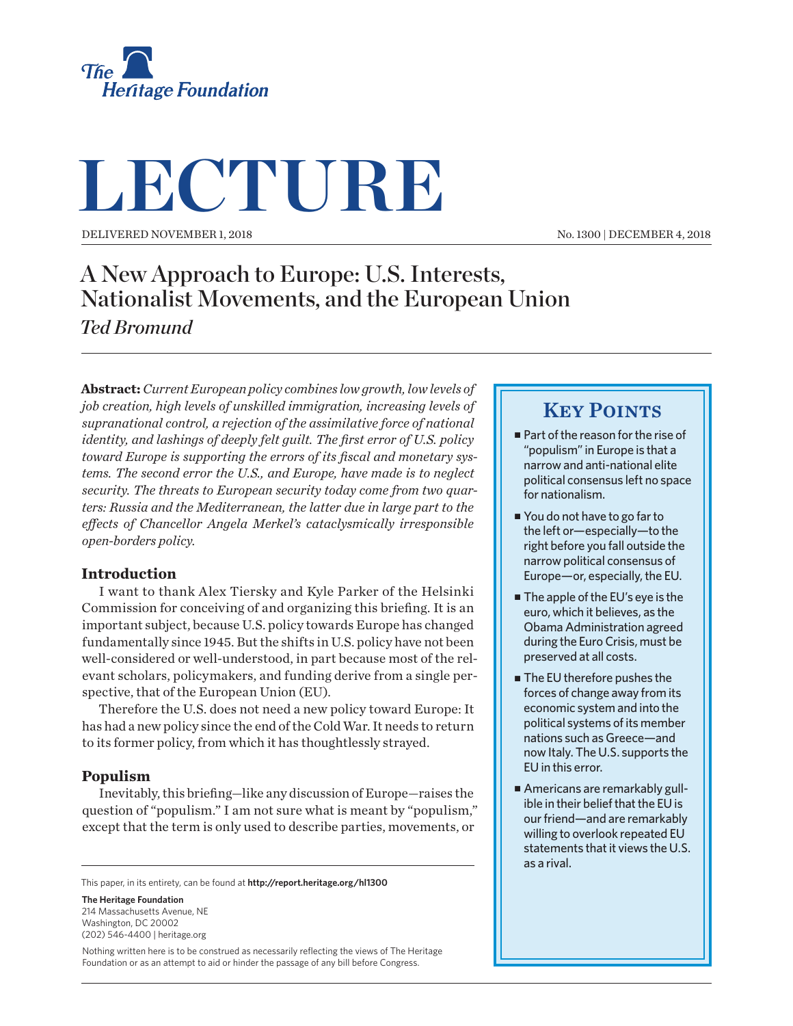

# **LECTURE**

Delivered November 1, 2018

No. 1300 | December 4, 2018

## A New Approach to Europe: U.S. Interests, Nationalist Movements, and the European Union *Ted Bromund*

**Abstract:** *Current European policy combines low growth, low levels of job creation, high levels of unskilled immigration, increasing levels of supranational control, a rejection of the assimilative force of national identity, and lashings of deeply felt guilt. The first error of U.S. policy toward Europe is supporting the errors of its fiscal and monetary systems. The second error the U.S., and Europe, have made is to neglect security. The threats to European security today come from two quarters: Russia and the Mediterranean, the latter due in large part to the effects of Chancellor Angela Merkel's cataclysmically irresponsible open-borders policy.*

#### **Introduction**

I want to thank Alex Tiersky and Kyle Parker of the Helsinki Commission for conceiving of and organizing this briefing. It is an important subject, because U.S. policy towards Europe has changed fundamentally since 1945. But the shifts in U.S. policy have not been well-considered or well-understood, in part because most of the relevant scholars, policymakers, and funding derive from a single perspective, that of the European Union (EU).

Therefore the U.S. does not need a new policy toward Europe: It has had a new policy since the end of the Cold War. It needs to return to its former policy, from which it has thoughtlessly strayed.

#### **Populism**

Inevitably, this briefing—like any discussion of Europe—raises the question of "populism." I am not sure what is meant by "populism," except that the term is only used to describe parties, movements, or

This paper, in its entirety, can be found at **http://report.heritage.org/hl1300**

**The Heritage Foundation** 214 Massachusetts Avenue, NF Washington, DC 20002

(202) 546-4400 | [heritage.org](http://www.heritage.org)

Nothing written here is to be construed as necessarily reflecting the views of The Heritage Foundation or as an attempt to aid or hinder the passage of any bill before Congress.

### **KEY POINTS**

- Part of the reason for the rise of "populism" in Europe is that a narrow and anti-national elite political consensus left no space for nationalism.
- You do not have to go far to the left or—especially—to the right before you fall outside the narrow political consensus of Europe—or, especially, the EU.
- $\blacksquare$  The apple of the EU's eye is the euro, which it believes, as the Obama Administration agreed during the Euro Crisis, must be preserved at all costs.
- The EU therefore pushes the forces of change away from its economic system and into the political systems of its member nations such as Greece—and now Italy. The U.S. supports the EU in this error.
- Americans are remarkably gullible in their belief that the EU is our friend—and are remarkably willing to overlook repeated EU statements that it views the U.S. as a rival.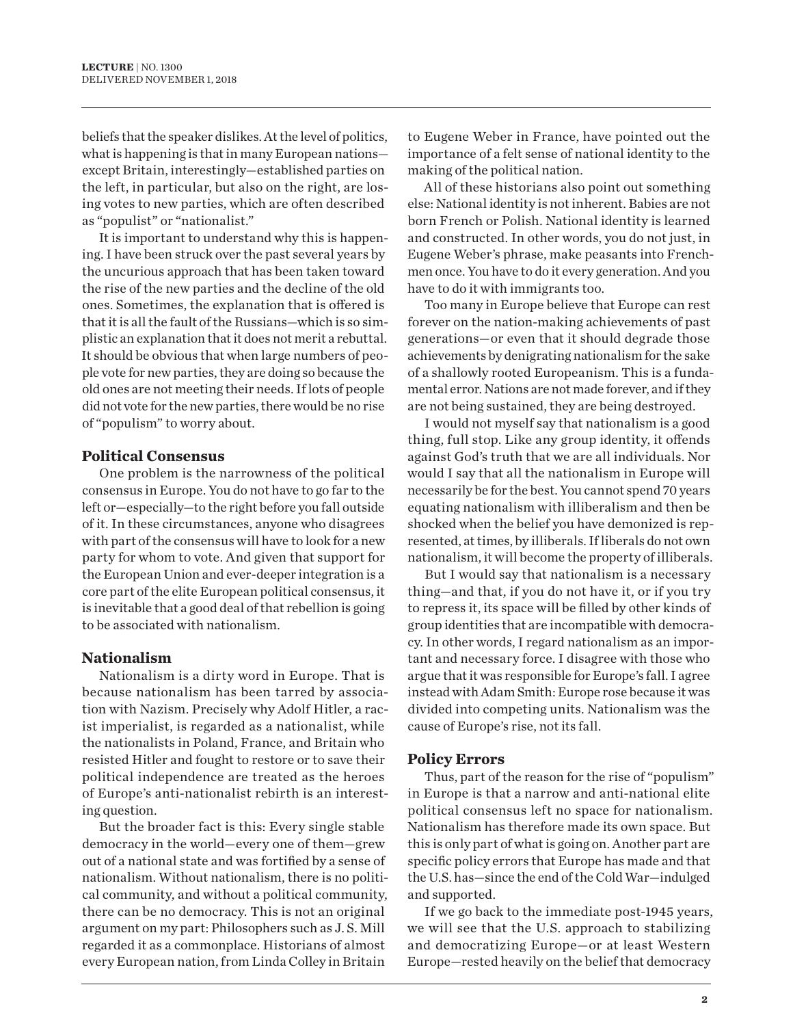beliefs that the speaker dislikes. At the level of politics, what is happening is that in many European nations except Britain, interestingly—established parties on the left, in particular, but also on the right, are losing votes to new parties, which are often described as "populist" or "nationalist."

It is important to understand why this is happening. I have been struck over the past several years by the uncurious approach that has been taken toward the rise of the new parties and the decline of the old ones. Sometimes, the explanation that is offered is that it is all the fault of the Russians—which is so simplistic an explanation that it does not merit a rebuttal. It should be obvious that when large numbers of people vote for new parties, they are doing so because the old ones are not meeting their needs. If lots of people did not vote for the new parties, there would be no rise of "populism" to worry about.

#### **Political Consensus**

One problem is the narrowness of the political consensus in Europe. You do not have to go far to the left or—especially—to the right before you fall outside of it. In these circumstances, anyone who disagrees with part of the consensus will have to look for a new party for whom to vote. And given that support for the European Union and ever-deeper integration is a core part of the elite European political consensus, it is inevitable that a good deal of that rebellion is going to be associated with nationalism.

#### **Nationalism**

Nationalism is a dirty word in Europe. That is because nationalism has been tarred by association with Nazism. Precisely why Adolf Hitler, a racist imperialist, is regarded as a nationalist, while the nationalists in Poland, France, and Britain who resisted Hitler and fought to restore or to save their political independence are treated as the heroes of Europe's anti-nationalist rebirth is an interesting question.

But the broader fact is this: Every single stable democracy in the world—every one of them—grew out of a national state and was fortified by a sense of nationalism. Without nationalism, there is no political community, and without a political community, there can be no democracy. This is not an original argument on my part: Philosophers such as J. S. Mill regarded it as a commonplace. Historians of almost every European nation, from Linda Colley in Britain

to Eugene Weber in France, have pointed out the importance of a felt sense of national identity to the making of the political nation.

All of these historians also point out something else: National identity is not inherent. Babies are not born French or Polish. National identity is learned and constructed. In other words, you do not just, in Eugene Weber's phrase, make peasants into Frenchmen once. You have to do it every generation. And you have to do it with immigrants too.

Too many in Europe believe that Europe can rest forever on the nation-making achievements of past generations—or even that it should degrade those achievements by denigrating nationalism for the sake of a shallowly rooted Europeanism. This is a fundamental error. Nations are not made forever, and if they are not being sustained, they are being destroyed.

I would not myself say that nationalism is a good thing, full stop. Like any group identity, it offends against God's truth that we are all individuals. Nor would I say that all the nationalism in Europe will necessarily be for the best. You cannot spend 70 years equating nationalism with illiberalism and then be shocked when the belief you have demonized is represented, at times, by illiberals. If liberals do not own nationalism, it will become the property of illiberals.

But I would say that nationalism is a necessary thing—and that, if you do not have it, or if you try to repress it, its space will be filled by other kinds of group identities that are incompatible with democracy. In other words, I regard nationalism as an important and necessary force. I disagree with those who argue that it was responsible for Europe's fall. I agree instead with Adam Smith: Europe rose because it was divided into competing units. Nationalism was the cause of Europe's rise, not its fall.

#### **Policy Errors**

Thus, part of the reason for the rise of "populism" in Europe is that a narrow and anti-national elite political consensus left no space for nationalism. Nationalism has therefore made its own space. But this is only part of what is going on. Another part are specific policy errors that Europe has made and that the U.S. has—since the end of the Cold War—indulged and supported.

If we go back to the immediate post-1945 years, we will see that the U.S. approach to stabilizing and democratizing Europe—or at least Western Europe—rested heavily on the belief that democracy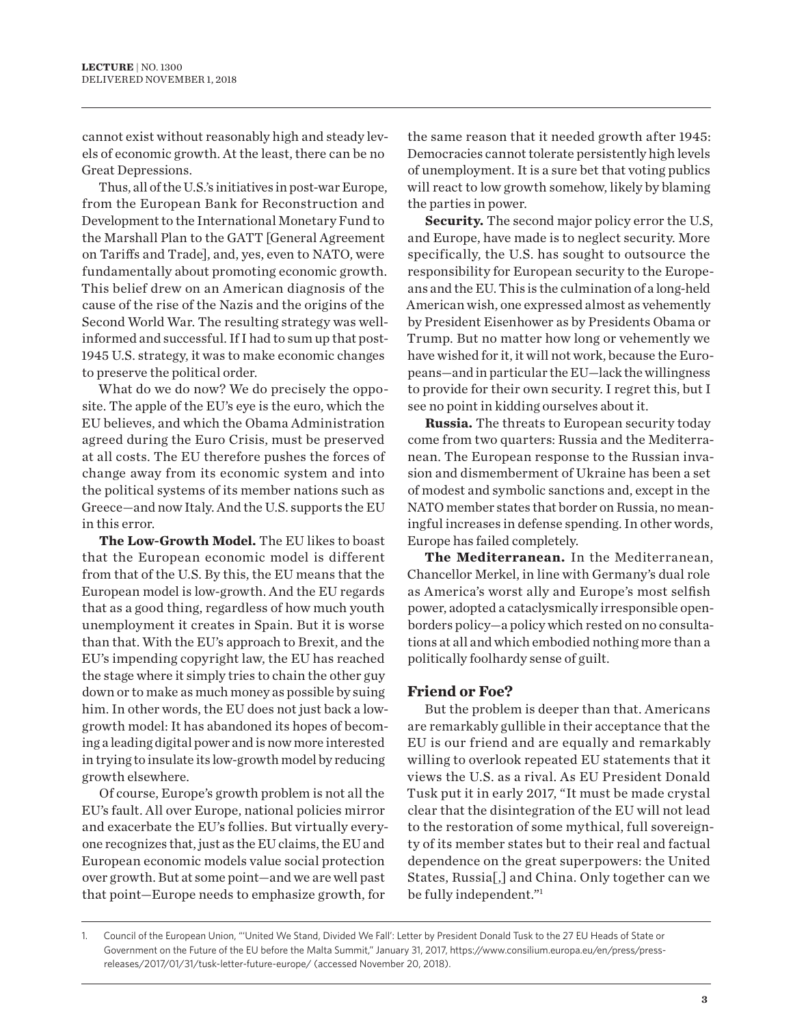cannot exist without reasonably high and steady levels of economic growth. At the least, there can be no Great Depressions.

Thus, all of the U.S.'s initiatives in post-war Europe, from the European Bank for Reconstruction and Development to the International Monetary Fund to the Marshall Plan to the GATT [General Agreement on Tariffs and Trade], and, yes, even to NATO, were fundamentally about promoting economic growth. This belief drew on an American diagnosis of the cause of the rise of the Nazis and the origins of the Second World War. The resulting strategy was wellinformed and successful. If I had to sum up that post-1945 U.S. strategy, it was to make economic changes to preserve the political order.

What do we do now? We do precisely the opposite. The apple of the EU's eye is the euro, which the EU believes, and which the Obama Administration agreed during the Euro Crisis, must be preserved at all costs. The EU therefore pushes the forces of change away from its economic system and into the political systems of its member nations such as Greece—and now Italy. And the U.S. supports the EU in this error.

**The Low-Growth Model.** The EU likes to boast that the European economic model is different from that of the U.S. By this, the EU means that the European model is low-growth. And the EU regards that as a good thing, regardless of how much youth unemployment it creates in Spain. But it is worse than that. With the EU's approach to Brexit, and the EU's impending copyright law, the EU has reached the stage where it simply tries to chain the other guy down or to make as much money as possible by suing him. In other words, the EU does not just back a lowgrowth model: It has abandoned its hopes of becoming a leading digital power and is now more interested in trying to insulate its low-growth model by reducing growth elsewhere.

Of course, Europe's growth problem is not all the EU's fault. All over Europe, national policies mirror and exacerbate the EU's follies. But virtually everyone recognizes that, just as the EU claims, the EU and European economic models value social protection over growth. But at some point—and we are well past that point—Europe needs to emphasize growth, for

the same reason that it needed growth after 1945: Democracies cannot tolerate persistently high levels of unemployment. It is a sure bet that voting publics will react to low growth somehow, likely by blaming the parties in power.

**Security.** The second major policy error the U.S, and Europe, have made is to neglect security. More specifically, the U.S. has sought to outsource the responsibility for European security to the Europeans and the EU. This is the culmination of a long-held American wish, one expressed almost as vehemently by President Eisenhower as by Presidents Obama or Trump. But no matter how long or vehemently we have wished for it, it will not work, because the Europeans—and in particular the EU—lack the willingness to provide for their own security. I regret this, but I see no point in kidding ourselves about it.

**Russia.** The threats to European security today come from two quarters: Russia and the Mediterranean. The European response to the Russian invasion and dismemberment of Ukraine has been a set of modest and symbolic sanctions and, except in the NATO member states that border on Russia, no meaningful increases in defense spending. In other words, Europe has failed completely.

**The Mediterranean.** In the Mediterranean, Chancellor Merkel, in line with Germany's dual role as America's worst ally and Europe's most selfish power, adopted a cataclysmically irresponsible openborders policy—a policy which rested on no consultations at all and which embodied nothing more than a politically foolhardy sense of guilt.

#### **Friend or Foe?**

But the problem is deeper than that. Americans are remarkably gullible in their acceptance that the EU is our friend and are equally and remarkably willing to overlook repeated EU statements that it views the U.S. as a rival. As EU President Donald Tusk put it in early 2017, "It must be made crystal clear that the disintegration of the EU will not lead to the restoration of some mythical, full sovereignty of its member states but to their real and factual dependence on the great superpowers: the United States, Russia[,] and China. Only together can we be fully independent."1

1. Council of the European Union, "'United We Stand, Divided We Fall': Letter by President Donald Tusk to the 27 EU Heads of State or Government on the Future of the EU before the Malta Summit," January 31, 2017, https://www.consilium.europa.eu/en/press/pressreleases/2017/01/31/tusk-letter-future-europe/ (accessed November 20, 2018).